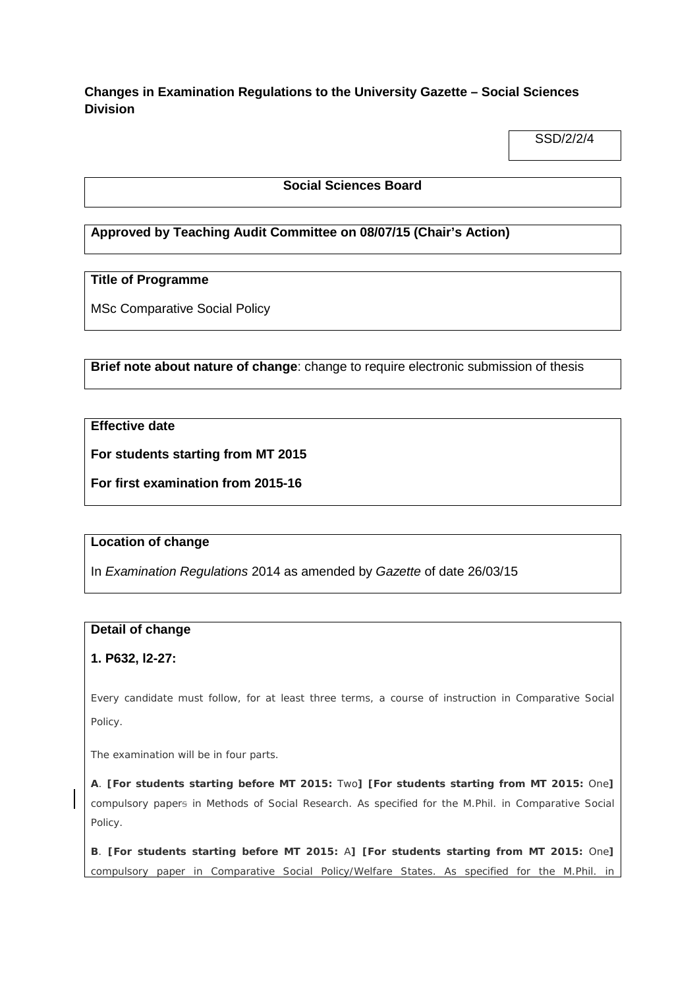# **Changes in Examination Regulations to the University Gazette – Social Sciences Division**

SSD/2/2/4

### **Social Sciences Board**

# **Approved by Teaching Audit Committee on 08/07/15 (Chair's Action)**

## **Title of Programme**

MSc Comparative Social Policy

### **Brief note about nature of change**: change to require electronic submission of thesis

### **Effective date**

**For students starting from MT 2015**

**For first examination from 2015-16**

#### **Location of change**

In *Examination Regulations* 2014 as amended by *Gazette* of date 26/03/15

### **Detail of change**

### **1. P632, l2-27:**

Every candidate must follow, for at least three terms, a course of instruction in Comparative Social Policy.

The examination will be in four parts.

**A**. **[For students starting before MT 2015:** Two**] [For students starting from MT 2015:** One**]** compulsory papers in *Methods of Social Research*. As specified for the M.Phil. in Comparative Social Policy.

**B**. **[For students starting before MT 2015:** A**] [For students starting from MT 2015:** One**]** compulsory paper in *Comparative Social Policy/Welfare States*. As specified for the M.Phil. in